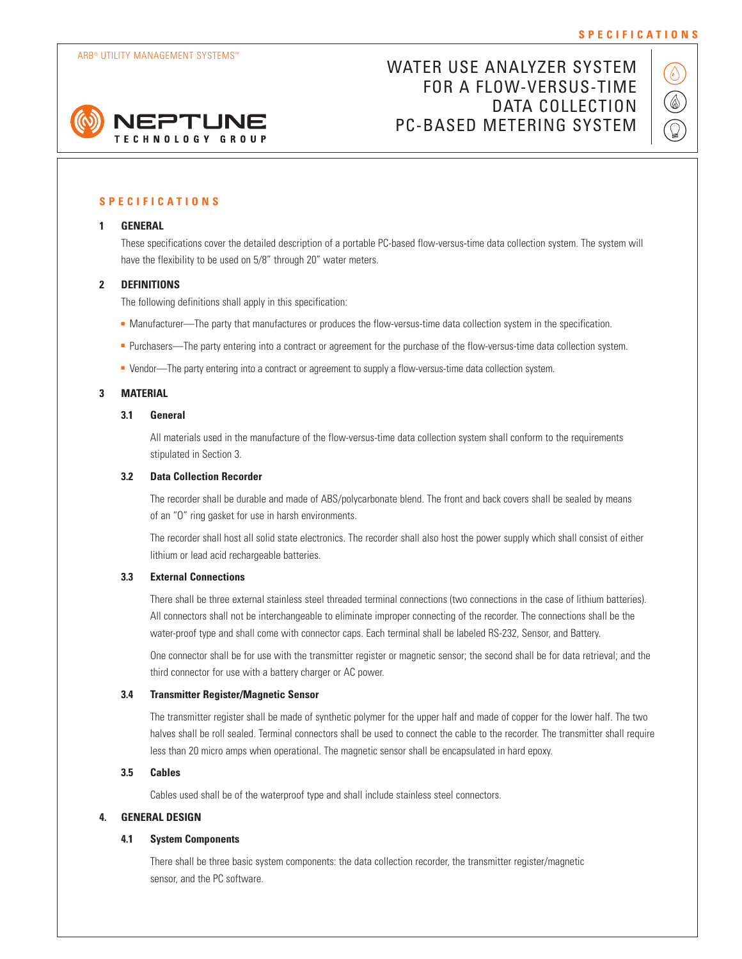

# WATER USE ANALYZER SYSTEM FOR A FLOW-VERSUS-TIME DATA COLLECTION PC-BASED METERING SYSTEM



# **SPECIFICATIONS**

#### **1 GENERAL**

These specifications cover the detailed description of a portable PC-based flow-versus-time data collection system. The system will have the flexibility to be used on 5/8" through 20" water meters.

#### **2 DEFINITIONS**

The following definitions shall apply in this specification:

- Manufacturer—The party that manufactures or produces the flow-versus-time data collection system in the specification.
- Purchasers—The party entering into a contract or agreement for the purchase of the flow-versus-time data collection system.
- Vendor—The party entering into a contract or agreement to supply a flow-versus-time data collection system.

# **3 MATERIAL**

### **3.1 General**

All materials used in the manufacture of the flow-versus-time data collection system shall conform to the requirements stipulated in Section 3.

#### **3.2 Data Collection Recorder**

The recorder shall be durable and made of ABS/polycarbonate blend. The front and back covers shall be sealed by means of an "O" ring gasket for use in harsh environments.

The recorder shall host all solid state electronics. The recorder shall also host the power supply which shall consist of either lithium or lead acid rechargeable batteries.

#### **3.3 External Connections**

There shall be three external stainless steel threaded terminal connections (two connections in the case of lithium batteries). All connectors shall not be interchangeable to eliminate improper connecting of the recorder. The connections shall be the water-proof type and shall come with connector caps. Each terminal shall be labeled RS-232, Sensor, and Battery.

One connector shall be for use with the transmitter register or magnetic sensor; the second shall be for data retrieval; and the third connector for use with a battery charger or AC power.

#### **3.4 Transmitter Register/Magnetic Sensor**

The transmitter register shall be made of synthetic polymer for the upper half and made of copper for the lower half. The two halves shall be roll sealed. Terminal connectors shall be used to connect the cable to the recorder. The transmitter shall require less than 20 micro amps when operational. The magnetic sensor shall be encapsulated in hard epoxy.

# **3.5 Cables**

Cables used shall be of the waterproof type and shall include stainless steel connectors.

## **4. GENERAL DESIGN**

### **4.1 System Components**

There shall be three basic system components: the data collection recorder, the transmitter register/magnetic sensor, and the PC software.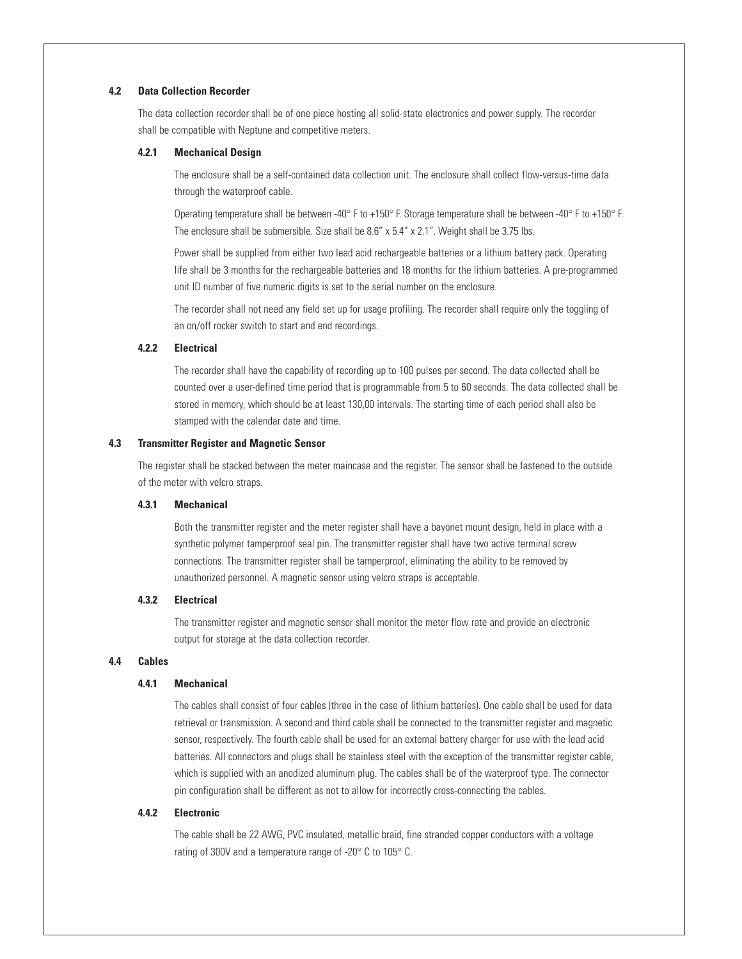## **4.2 Data Collection Recorder**

The data collection recorder shall be of one piece hosting all solid-state electronics and power supply. The recorder shall be compatible with Neptune and competitive meters.

#### **4.2.1 Mechanical Design**

The enclosure shall be a self-contained data collection unit. The enclosure shall collect flow-versus-time data through the waterproof cable.

Operating temperature shall be between -40° F to +150° F. Storage temperature shall be between -40° F to +150° F. The enclosure shall be submersible. Size shall be 8.6" x 5.4" x 2.1". Weight shall be 3.75 lbs.

Power shall be supplied from either two lead acid rechargeable batteries or a lithium battery pack. Operating life shall be 3 months for the rechargeable batteries and 18 months for the lithium batteries. A pre-programmed unit ID number of five numeric digits is set to the serial number on the enclosure.

The recorder shall not need any field set up for usage profiling. The recorder shall require only the toggling of an on/off rocker switch to start and end recordings.

## **4.2.2 Electrical**

The recorder shall have the capability of recording up to 100 pulses per second. The data collected shall be counted over a user-defined time period that is programmable from 5 to 60 seconds. The data collected shall be stored in memory, which should be at least 130,00 intervals. The starting time of each period shall also be stamped with the calendar date and time.

#### **4.3 Transmitter Register and Magnetic Sensor**

The register shall be stacked between the meter maincase and the register. The sensor shall be fastened to the outside of the meter with velcro straps.

#### **4.3.1 Mechanical**

Both the transmitter register and the meter register shall have a bayonet mount design, held in place with a synthetic polymer tamperproof seal pin. The transmitter register shall have two active terminal screw connections. The transmitter register shall be tamperproof, eliminating the ability to be removed by unauthorized personnel. A magnetic sensor using velcro straps is acceptable.

#### **4.3.2 Electrical**

The transmitter register and magnetic sensor shall monitor the meter flow rate and provide an electronic output for storage at the data collection recorder.

#### **4.4 Cables**

#### **4.4.1 Mechanical**

The cables shall consist of four cables (three in the case of lithium batteries). One cable shall be used for data retrieval or transmission. A second and third cable shall be connected to the transmitter register and magnetic sensor, respectively. The fourth cable shall be used for an external battery charger for use with the lead acid batteries. All connectors and plugs shall be stainless steel with the exception of the transmitter register cable, which is supplied with an anodized aluminum plug. The cables shall be of the waterproof type. The connector pin configuration shall be different as not to allow for incorrectly cross-connecting the cables.

# **4.4.2 Electronic**

The cable shall be 22 AWG, PVC insulated, metallic braid, fine stranded copper conductors with a voltage rating of 300V and a temperature range of -20° C to 105° C.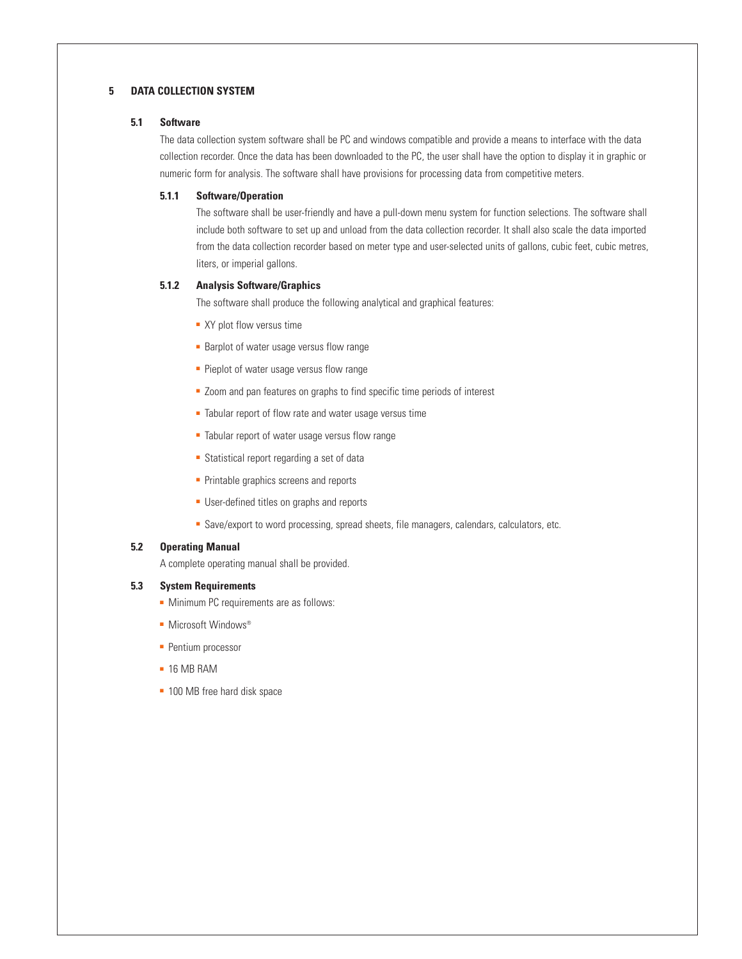# **5 DATA COLLECTION SYSTEM**

### **5.1 Software**

The data collection system software shall be PC and windows compatible and provide a means to interface with the data collection recorder. Once the data has been downloaded to the PC, the user shall have the option to display it in graphic or numeric form for analysis. The software shall have provisions for processing data from competitive meters.

#### **5.1.1 Software/Operation**

The software shall be user-friendly and have a pull-down menu system for function selections. The software shall include both software to set up and unload from the data collection recorder. It shall also scale the data imported from the data collection recorder based on meter type and user-selected units of gallons, cubic feet, cubic metres, liters, or imperial gallons.

# **5.1.2 Analysis Software/Graphics**

The software shall produce the following analytical and graphical features:

- XY plot flow versus time
- Barplot of water usage versus flow range
- Pieplot of water usage versus flow range
- Zoom and pan features on graphs to find specific time periods of interest
- Tabular report of flow rate and water usage versus time
- Tabular report of water usage versus flow range
- Statistical report regarding a set of data
- Printable graphics screens and reports
- User-defined titles on graphs and reports
- Save/export to word processing, spread sheets, file managers, calendars, calculators, etc.

# **5.2 Operating Manual**

A complete operating manual shall be provided.

# **5.3 System Requirements**

- Minimum PC requirements are as follows:
- Microsoft Windows<sup>®</sup>
- Pentium processor
- 16 MB RAM
- 100 MB free hard disk space